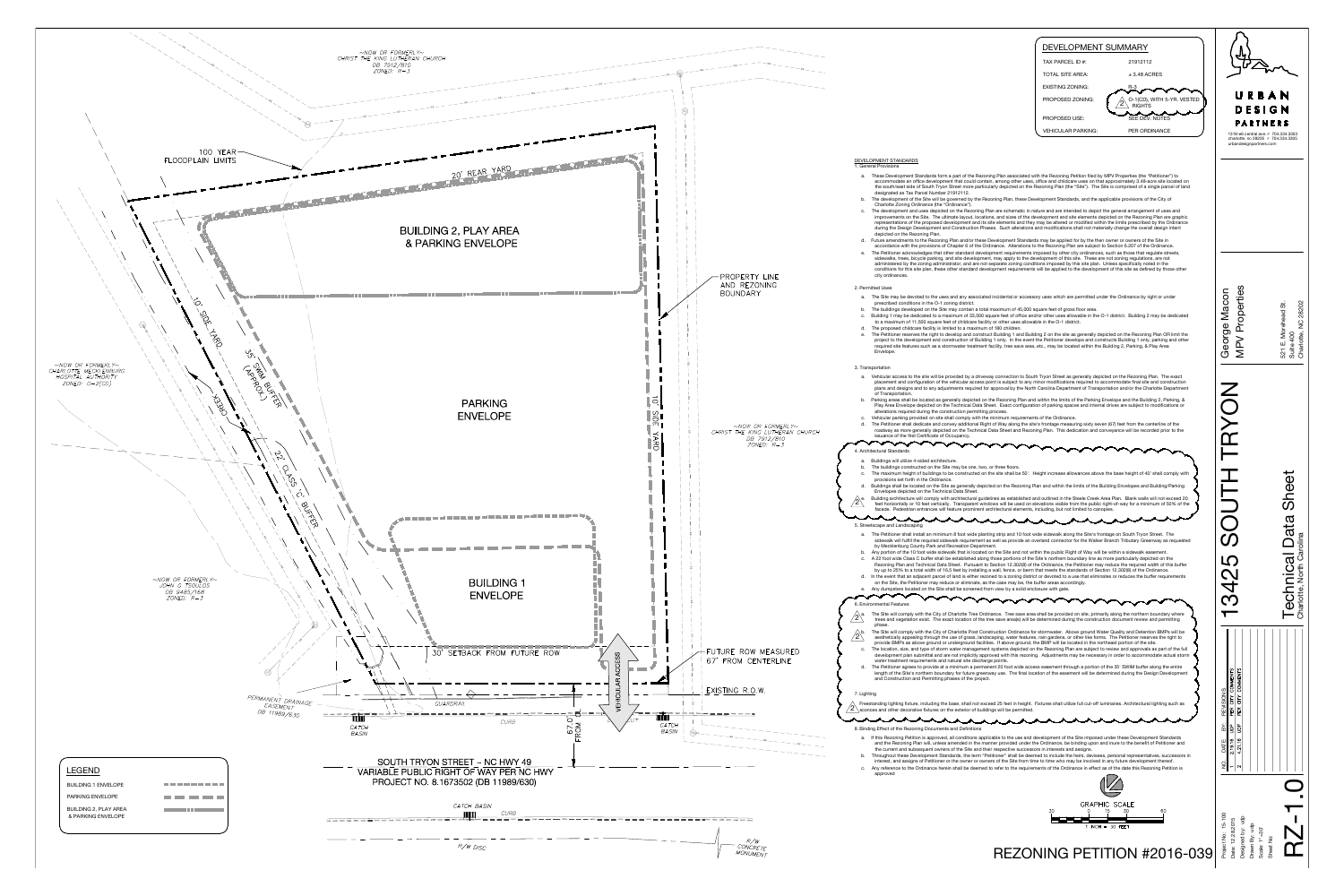

|                                                                                                                                                                                                                                                                                                                                                                                                                                                                                                                                                                                                                                                          | DEVELOPMENT SUMMARY<br>TAX PARCEL ID #:<br>21912112<br><b>TOTAL SITE AREA:</b><br>$±$ 3.48 ACRES<br><b>EXISTING ZONING:</b><br>$R-3$<br>PROPOSED ZONING:<br>O-1(CD), WITH 5-YR. VESTED<br><b>RIGHTS</b><br>$\epsilon$<br>SEE DEV. NOTES<br>PROPOSED USE:                                                                                                                                                                                                                                                                                                                                                                                                                                                                                                                                                                                                                                                                                                                                                                                                                                                                                                                                                                                                                                                                                                                                                                                                                                                                                                                                                                                                                                                                                                                                                                                                                                                                                                                                                                                                                                                                                                                                                                                                                                                                                                                                                                                                                                                                                                                                                                                                                                                                                                                                                                                                                                                                         | URBAN<br>DESIGN<br>PARTNERS                                                                                                                                 |                                                                                                              |
|----------------------------------------------------------------------------------------------------------------------------------------------------------------------------------------------------------------------------------------------------------------------------------------------------------------------------------------------------------------------------------------------------------------------------------------------------------------------------------------------------------------------------------------------------------------------------------------------------------------------------------------------------------|----------------------------------------------------------------------------------------------------------------------------------------------------------------------------------------------------------------------------------------------------------------------------------------------------------------------------------------------------------------------------------------------------------------------------------------------------------------------------------------------------------------------------------------------------------------------------------------------------------------------------------------------------------------------------------------------------------------------------------------------------------------------------------------------------------------------------------------------------------------------------------------------------------------------------------------------------------------------------------------------------------------------------------------------------------------------------------------------------------------------------------------------------------------------------------------------------------------------------------------------------------------------------------------------------------------------------------------------------------------------------------------------------------------------------------------------------------------------------------------------------------------------------------------------------------------------------------------------------------------------------------------------------------------------------------------------------------------------------------------------------------------------------------------------------------------------------------------------------------------------------------------------------------------------------------------------------------------------------------------------------------------------------------------------------------------------------------------------------------------------------------------------------------------------------------------------------------------------------------------------------------------------------------------------------------------------------------------------------------------------------------------------------------------------------------------------------------------------------------------------------------------------------------------------------------------------------------------------------------------------------------------------------------------------------------------------------------------------------------------------------------------------------------------------------------------------------------------------------------------------------------------------------------------------------------|-------------------------------------------------------------------------------------------------------------------------------------------------------------|--------------------------------------------------------------------------------------------------------------|
|                                                                                                                                                                                                                                                                                                                                                                                                                                                                                                                                                                                                                                                          | PER ORDINANCE<br><b>VEHICULAR PARKING:</b>                                                                                                                                                                                                                                                                                                                                                                                                                                                                                                                                                                                                                                                                                                                                                                                                                                                                                                                                                                                                                                                                                                                                                                                                                                                                                                                                                                                                                                                                                                                                                                                                                                                                                                                                                                                                                                                                                                                                                                                                                                                                                                                                                                                                                                                                                                                                                                                                                                                                                                                                                                                                                                                                                                                                                                                                                                                                                       | 1318-e6 central ave. P 704.334.3303<br>charlotte, nc 28205 F 704.334.3305<br>urbandesignpartners.com                                                        |                                                                                                              |
| DEVELOPMENT STANDARDS<br>1. General Provisions<br>a.<br>designated as Tax Parcel Number 21912112.<br>b.<br>Charlotte Zoning Ordinance (the "Ordinance").<br>C.<br>depicted on the Rezoning Plan.<br>d.<br>е.<br>city ordinances.<br>2. Permitted Uses<br>a.<br>prescribed conditions in the O-1 zoning district.<br>The buildings developed on the Site may contain a total maximum of 45,000 square feet of gross floor area.<br>b.<br>c.<br>to a maximum of 11,500 square feet of childcare facility or other uses allowable in the O-1 district.<br>The proposed childcare facility is limited to a maximum of 180 children.<br>d.<br>е.<br>Envelope. | These Development Standards form a part of the Rezoning Plan associated with the Rezoning Petition filed by MPV Properties (the "Petitioner") to<br>accommodate an office development that could contain, among other uses, office and childcare uses on that approximately 3.48-acre site located on<br>the south/east side of South Tryon Street more particularly depicted on the Rezoning Plan (the "Site"). The Site is comprised of a single parcel of land<br>The development of the Site will be governed by the Rezoning Plan, these Development Standards, and the applicable provisions of the City of<br>The development and uses depicted on the Rezoning Plan are schematic in nature and are intended to depict the general arrangement of uses and<br>improvements on the Site. The ultimate layout, locations, and sizes of the development and site elements depicted on the Rezoning Plan are graphic<br>representations of the proposed development and its site elements and they may be altered or modified within the limits prescribed by the Ordinance<br>during the Design Development and Construction Phases. Such alterations and modifications shall not materially change the overall design intent<br>Future amendments to the Rezoning Plan and/or these Development Standards may be applied for by the then owner or owners of the Site in<br>accordance with the provisions of Chapter 6 of the Ordinance. Alterations to the Rezoning Plan are subject to Section 6.207 of the Ordinance.<br>The Petitioner acknowledges that other standard development requirements imposed by other city ordinances, such as those that regulate streets,<br>sidewalks, trees, bicycle parking, and site development, may apply to the development of this site. These are not zoning regulations, are not<br>administered by the zoning administrator, and are not separate zoning conditions imposed by this site plan. Unless specifically noted in the<br>conditions for this site plan, these other standard development requirements will be applied to the development of this site as defined by those other<br>The Site may be devoted to the uses and any associated incidental or accessory uses which are permitted under the Ordinance by right or under<br>Building 1 may be dedicated to a maximum of 33,500 square feet of office and/or other uses allowable in the O-1 district. Building 2 may be dedicated<br>The Petitioner reserves the right to develop and construct Building 1 and Building 2 on the site as generally depicted on the Rezoning Plan OR limit the<br>project to the development and construction of Building 1 only. In the event the Petitioner develops and constructs Building 1 only, parking and other<br>required site features such as a stormwater treatment facility, tree save area, etc., may be located within the Building 2, Parking, & Play Area | Properties<br>Macon<br>George<br><b>NPV</b>                                                                                                                 | 28202<br>Morehead St.<br>$\gtrsim$<br>521 E. Mor<br>Suite 400<br>Charlotte, I                                |
| 3. Transportation<br>of Transportation.<br>b.<br>alterations required during the construction permitting process.<br>Vehicular parking provided on site shall comply with the minimum requirements of the Ordinance.<br>с.<br>d.<br>issuance of the first Certificate of Occupancy.                                                                                                                                                                                                                                                                                                                                                                      | Vehicular access to the site will be provided by a driveway connection to South Tryon Street as generally depicted on the Rezoning Plan. The exact<br>placement and configuration of the vehicular access point is subject to any minor modifications required to accommodate final site and construction<br>plans and designs and to any adjustments required for approval by the North Carolina Department of Transportation and/or the Charlotte Department<br>Parking areas shall be located as generally depicted on the Rezoning Plan and within the limits of the Parking Envelope and the Building 2, Parking, &<br>Play Area Envelope depicted on the Technical Data Sheet. Exact configuration of parking spaces and internal drives are subject to modifications or<br>The Petitioner shall dedicate and convey additional Right of Way along the site's frontage measuring sixty seven (67) feet from the centerline of the<br>roadway as more generally depicted on the Technical Data Sheet and Rezoning Plan. This dedication and conveyance will be recorded prior to the                                                                                                                                                                                                                                                                                                                                                                                                                                                                                                                                                                                                                                                                                                                                                                                                                                                                                                                                                                                                                                                                                                                                                                                                                                                                                                                                                                                                                                                                                                                                                                                                                                                                                                                                                                                                                                        |                                                                                                                                                             |                                                                                                              |
| 4. Architectural Standards<br>Buildings will utilize 4-sided architecture.<br>a.<br>The buildings constructed on the Site may be one, two, or three floors.<br>b.<br>c.<br>provisions set forth in the Ordinance.<br>d.<br>Envelopes depicted on the Technical Data Sheet.<br>$^{\prime}$ 2 $^{\prime}$<br>facade. Pedestrian entrances will feature prominent architectural elements, including, but not limited to canopies.                                                                                                                                                                                                                           | The maximum height of buildings to be constructed on the site shall be 50'. Height increase allowances above the base height of 40' shall comply with<br>Buildings shall be located on the Site as generally depicted on the Rezoning Plan and within the limits of the Building Envelopes and Building/Parking<br>Building architecture will comply with architectural guidelines as established and outlined in the Steele Creek Area Plan. Blank walls will not exceed 20<br>feet horizontally or 10 feet vertically. Transparent windows will be used on elevations visible from the public right-of-way for a minimum of 50% of the                                                                                                                                                                                                                                                                                                                                                                                                                                                                                                                                                                                                                                                                                                                                                                                                                                                                                                                                                                                                                                                                                                                                                                                                                                                                                                                                                                                                                                                                                                                                                                                                                                                                                                                                                                                                                                                                                                                                                                                                                                                                                                                                                                                                                                                                                         |                                                                                                                                                             | $\overline{\Phi}$                                                                                            |
| 5. Streetscape and Landscaping<br>by Mecklenburg County Park and Recreation Department.<br>b.<br>d.<br>on the Site, the Petitioner may reduce or eliminate, as the case may be, the buffer areas accordingly.<br>Any dumpsters located on the Site shall be screened from view by a solid enclosure with gate.                                                                                                                                                                                                                                                                                                                                           | a. The Petitioner shall install an minimum 8 foot wide planting strip and 10 foot wide sidewalk along the Site's frontage on South Tryon Street. The<br>sidewalk will fulfill the requried sidewalk requirement as well as provide an overland connector for the Walker Branch Tributary Greenway as requested<br>Any portion of the 10 foot wide sidewalk that is located on the Site and not within the public Right of Way will be within a sidewalk easement.<br>c. A 22 foot wide Class C buffer shall be established along those portions of the Site's northern boundary line as more particularly depicted on the<br>Rezoning Plan and Technical Data Sheet. Pursuant to Section 12.302(8) of the Ordinance, the Petitioner may reduce the required width of this buffer<br>by up to 25% to a total width of 16.5 feet by installing a wall, fence, or berm that meets the standards of Section 12.302(8) of the Ordinance.<br>In the event that an adjacent parcel of land is either rezoned to a zoning district or devoted to a use that eliminates or reduces the buffer requirements                                                                                                                                                                                                                                                                                                                                                                                                                                                                                                                                                                                                                                                                                                                                                                                                                                                                                                                                                                                                                                                                                                                                                                                                                                                                                                                                                                                                                                                                                                                                                                                                                                                                                                                                                                                                                                |                                                                                                                                                             | <u>რ</u><br>$\vec{a}$<br>Carolina<br><b>S</b><br>North<br>$\mathfrak{c}$ )<br>—<br>—<br>Charlotte,<br>.<br>ග |
| 6. Environmental Features<br>$\sqrt{2}$ <sup>a.</sup><br>phase.<br>∆b.<br>$^{\prime}$ 2 $^{\backprime}$<br>c.<br>water treatment requirements and natural site discharge points.<br>d.<br>and Construction and Permitting phases of the project.                                                                                                                                                                                                                                                                                                                                                                                                         | The Site will comply with the City of Charlotte Tree Ordinance. Tree save area shall be provided on site, primarily along the northern boundary where<br>trees and vegetation exist. The exact location of the tree save area(s) will be determined during the construction document review and permitting<br>The Site will comply with the City of Charlotte Post Construction Ordinance for stormwater. Above ground Water Quality and Detention BMPs will be<br>aesthetically appealing through the use of grass, landscaping, water features, rain gardens, or other like forms. The Petitioner reserves the right to<br>provide BMPs as above ground or underground facilities. If above ground, the BMP will be located in the northeast portion of the site.<br>The location, size, and type of storm water management systems depicted on the Rezoning Plan are subject to review and approvals as part of the full<br>development plan submittal and are not implicitly approved with this rezoning. Adjustments may be necessary in order to accommodate actual storm<br>The Petitioner agrees to provide at a minimum a permanent 20 foot wide access easement through a portion of the 35' SWIM buffer along the entire<br>length of the Site's northern boundary for future greenway use. The final location of the easement will be determined during the Design Development                                                                                                                                                                                                                                                                                                                                                                                                                                                                                                                                                                                                                                                                                                                                                                                                                                                                                                                                                                                                                                                                                                                                                                                                                                                                                                                                                                                                                                                                                                                                       |                                                                                                                                                             |                                                                                                              |
| 7. Lighting<br>$\setminus$ sconces and other decorative fixtures on the exterior of buildings will be permitted.<br>$\epsilon$<br>8. Binding Effect of the Rezoning Documents and Definitions<br>a.<br>the current and subsequent owners of the Site and their respective successors in interests and assigns.<br>b.<br>c.<br>approved                                                                                                                                                                                                                                                                                                                   | Freestanding lighting fixture, including the base, shall not exceed 25 feet in height. Fixtures shall utilize full cut-off luminaries. Architectural lighting such as<br>If this Rezoning Petition is approved, all conditions applicable to the use and development of the Site imposed under these Development Standards<br>and the Rezoning Plan will, unless amended in the manner provided under the Ordinance, be binding upon and inure to the benefit of Petitioner and<br>Throughout these Development Standards, the term "Petitioner" shall be deemed to include the heirs, devisees, personal representatives, successors in<br>interest, and assigns of Petitioner or the owner or owners of the Site from time to time who may be involved in any future development thereof.<br>Any reference to the Ordinance herein shall be deemed to refer to the requirements of the Ordinance in effect as of the date this Rezoning Petition is                                                                                                                                                                                                                                                                                                                                                                                                                                                                                                                                                                                                                                                                                                                                                                                                                                                                                                                                                                                                                                                                                                                                                                                                                                                                                                                                                                                                                                                                                                                                                                                                                                                                                                                                                                                                                                                                                                                                                                            | CITY COMMENTS<br>SIONS:<br><b>REV</b><br>PER<br>ΒŸ:<br>$\frac{a}{c}$ $\frac{b}{c}$<br>2.19.16<br>DATE:<br>4.21.1<br>ş<br>$\sim$<br>$\overline{\phantom{0}}$ |                                                                                                              |
|                                                                                                                                                                                                                                                                                                                                                                                                                                                                                                                                                                                                                                                          | <b>GRAPHIC SCALE</b><br>30<br>30<br>60<br>$1$ INCH = 30 FEET<br><b>REZONING PETITION #2016-039</b>                                                                                                                                                                                                                                                                                                                                                                                                                                                                                                                                                                                                                                                                                                                                                                                                                                                                                                                                                                                                                                                                                                                                                                                                                                                                                                                                                                                                                                                                                                                                                                                                                                                                                                                                                                                                                                                                                                                                                                                                                                                                                                                                                                                                                                                                                                                                                                                                                                                                                                                                                                                                                                                                                                                                                                                                                               | $5 - 100$<br>dp<br>.2015<br>Drawn By: udp<br>ä<br>90<br>12.28.<br>Project No:<br>Designed<br>Scale:<br>Date:                                                | Sheet No:                                                                                                    |